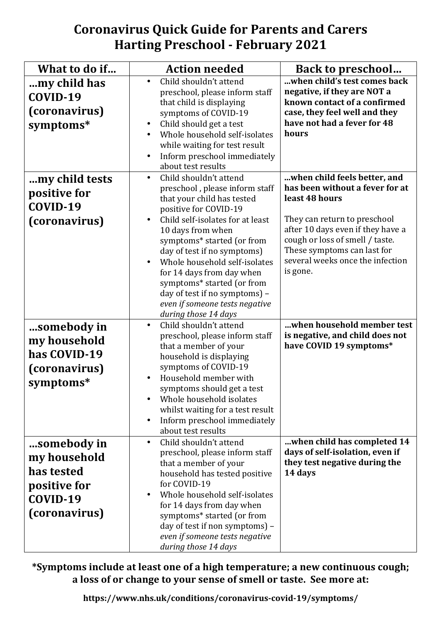## **Coronavirus Quick Guide for Parents and Carers Harting Preschool - February 2021**

| What to do if                                                                          | <b>Action needed</b>                                                                                                                                                                                                                                                                                                                                                                                                                      | <b>Back to preschool</b>                                                                                                                                                                                                                                                 |
|----------------------------------------------------------------------------------------|-------------------------------------------------------------------------------------------------------------------------------------------------------------------------------------------------------------------------------------------------------------------------------------------------------------------------------------------------------------------------------------------------------------------------------------------|--------------------------------------------------------------------------------------------------------------------------------------------------------------------------------------------------------------------------------------------------------------------------|
| my child has<br>COVID-19<br>(coronavirus)<br>symptoms*                                 | Child shouldn't attend<br>$\bullet$<br>preschool, please inform staff<br>that child is displaying<br>symptoms of COVID-19<br>Child should get a test<br>$\bullet$<br>Whole household self-isolates<br>while waiting for test result<br>Inform preschool immediately<br>about test results                                                                                                                                                 | when child's test comes back<br>negative, if they are NOT a<br>known contact of a confirmed<br>case, they feel well and they<br>have not had a fever for 48<br>hours                                                                                                     |
| my child tests<br>positive for<br>COVID-19<br>(coronavirus)                            | Child shouldn't attend<br>$\bullet$<br>preschool, please inform staff<br>that your child has tested<br>positive for COVID-19<br>Child self-isolates for at least<br>10 days from when<br>symptoms* started (or from<br>day of test if no symptoms)<br>Whole household self-isolates<br>for 14 days from day when<br>symptoms* started (or from<br>day of test if no symptoms) -<br>even if someone tests negative<br>during those 14 days | when child feels better, and<br>has been without a fever for at<br>least 48 hours<br>They can return to preschool<br>after 10 days even if they have a<br>cough or loss of smell / taste.<br>These symptoms can last for<br>several weeks once the infection<br>is gone. |
| somebody in<br>my household<br>has COVID-19<br>(coronavirus)<br>symptoms*              | Child shouldn't attend<br>$\bullet$<br>preschool, please inform staff<br>that a member of your<br>household is displaying<br>symptoms of COVID-19<br>Household member with<br>symptoms should get a test<br>Whole household isolates<br>whilst waiting for a test result<br>Inform preschool immediately<br>about test results                                                                                                            | when household member test<br>is negative, and child does not<br>have COVID 19 symptoms*                                                                                                                                                                                 |
| somebody in<br>my household<br>has tested<br>positive for<br>COVID-19<br>(coronavirus) | Child shouldn't attend<br>$\bullet$<br>preschool, please inform staff<br>that a member of your<br>household has tested positive<br>for COVID-19<br>Whole household self-isolates<br>for 14 days from day when<br>symptoms* started (or from<br>day of test if non symptoms) -<br>even if someone tests negative<br>during those 14 days                                                                                                   | when child has completed 14<br>days of self-isolation, even if<br>they test negative during the<br>14 days                                                                                                                                                               |

\*Symptoms include at least one of a high temperature; a new continuous cough; a loss of or change to your sense of smell or taste. See more at:

**https://www.nhs.uk/conditions/coronavirus-covid-19/symptoms/**